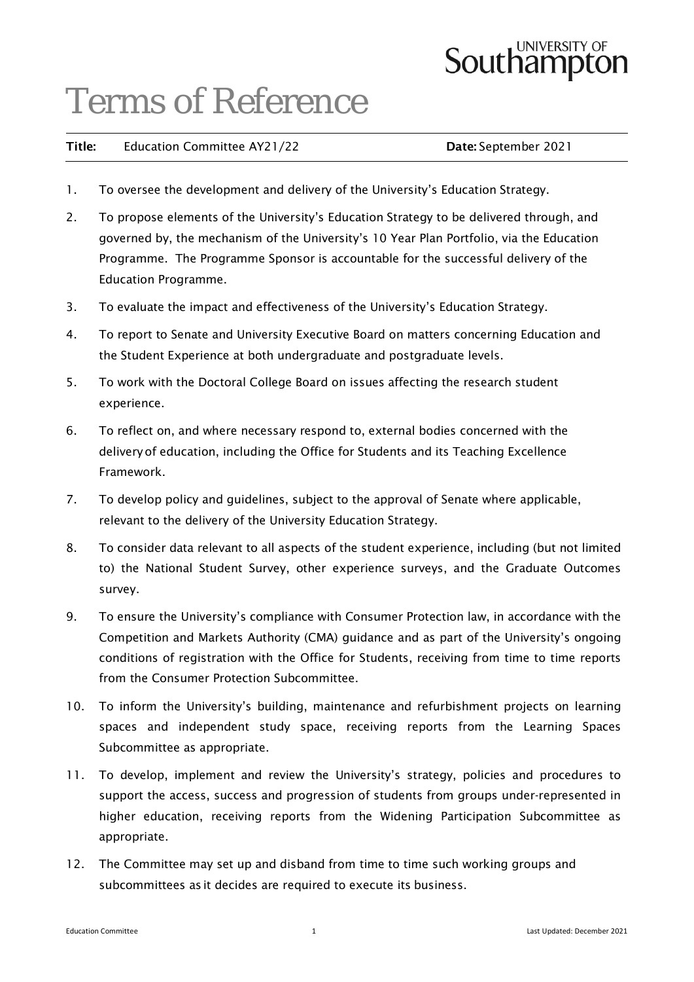# **Southampton**

### Terms of Reference

| Title: | <b>Education Committee AY21/22</b> | Date: September 2021 |
|--------|------------------------------------|----------------------|
|--------|------------------------------------|----------------------|

- 1. To oversee the development and delivery of the University's Education Strategy.
- 2. To propose elements of the University's Education Strategy to be delivered through, and governed by, the mechanism of the University's 10 Year Plan Portfolio, via the Education Programme. The Programme Sponsor is accountable for the successful delivery of the Education Programme.
- 3. To evaluate the impact and effectiveness of the University's Education Strategy.
- 4. To report to Senate and University Executive Board on matters concerning Education and the Student Experience at both undergraduate and postgraduate levels.
- 5. To work with the Doctoral College Board on issues affecting the research student experience.
- 6. To reflect on, and where necessary respond to, external bodies concerned with the deliveryof education, including the Office for Students and its Teaching Excellence Framework.
- 7. To develop policy and guidelines, subject to the approval of Senate where applicable, relevant to the delivery of the University Education Strategy.
- 8. To consider data relevant to all aspects of the student experience, including (but not limited to) the National Student Survey, other experience surveys, and the Graduate Outcomes survey.
- 9. To ensure the University's compliance with Consumer Protection law, in accordance with the Competition and Markets Authority (CMA) guidance and as part of the University's ongoing conditions of registration with the Office for Students, receiving from time to time reports from the Consumer Protection Subcommittee.
- 10. To inform the University's building, maintenance and refurbishment projects on learning spaces and independent study space, receiving reports from the Learning Spaces Subcommittee as appropriate.
- 11. To develop, implement and review the University's strategy, policies and procedures to support the access, success and progression of students from groups under-represented in higher education, receiving reports from the Widening Participation Subcommittee as appropriate.
- 12. The Committee may set up and disband from time to time such working groups and subcommittees as it decides are required to execute its business.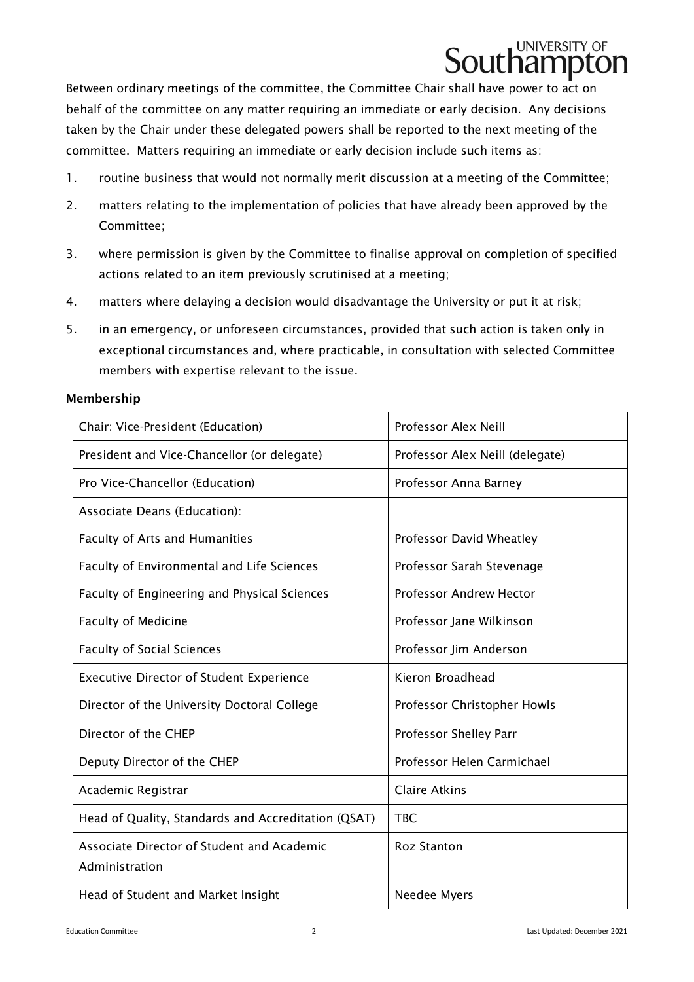

Between ordinary meetings of the committee, the Committee Chair shall have power to act on behalf of the committee on any matter requiring an immediate or early decision. Any decisions taken by the Chair under these delegated powers shall be reported to the next meeting of the committee. Matters requiring an immediate or early decision include such items as:

- 1. routine business that would not normally merit discussion at a meeting of the Committee;
- 2. matters relating to the implementation of policies that have already been approved by the Committee;
- 3. where permission is given by the Committee to finalise approval on completion of specified actions related to an item previously scrutinised at a meeting;
- 4. matters where delaying a decision would disadvantage the University or put it at risk;
- 5. in an emergency, or unforeseen circumstances, provided that such action is taken only in exceptional circumstances and, where practicable, in consultation with selected Committee members with expertise relevant to the issue.

#### Membership

| Chair: Vice-President (Education)                            | Professor Alex Neill            |  |
|--------------------------------------------------------------|---------------------------------|--|
| President and Vice-Chancellor (or delegate)                  | Professor Alex Neill (delegate) |  |
| Pro Vice-Chancellor (Education)                              | Professor Anna Barney           |  |
| Associate Deans (Education):                                 |                                 |  |
| <b>Faculty of Arts and Humanities</b>                        | Professor David Wheatley        |  |
| Faculty of Environmental and Life Sciences                   | Professor Sarah Stevenage       |  |
| Faculty of Engineering and Physical Sciences                 | <b>Professor Andrew Hector</b>  |  |
| <b>Faculty of Medicine</b>                                   | Professor Jane Wilkinson        |  |
| <b>Faculty of Social Sciences</b>                            | Professor Jim Anderson          |  |
| <b>Executive Director of Student Experience</b>              | Kieron Broadhead                |  |
| Director of the University Doctoral College                  | Professor Christopher Howls     |  |
| Director of the CHEP                                         | Professor Shelley Parr          |  |
| Deputy Director of the CHEP                                  | Professor Helen Carmichael      |  |
| Academic Registrar                                           | <b>Claire Atkins</b>            |  |
| Head of Quality, Standards and Accreditation (QSAT)          | <b>TBC</b>                      |  |
| Associate Director of Student and Academic<br>Administration | <b>Roz Stanton</b>              |  |
| Head of Student and Market Insight                           | Needee Myers                    |  |